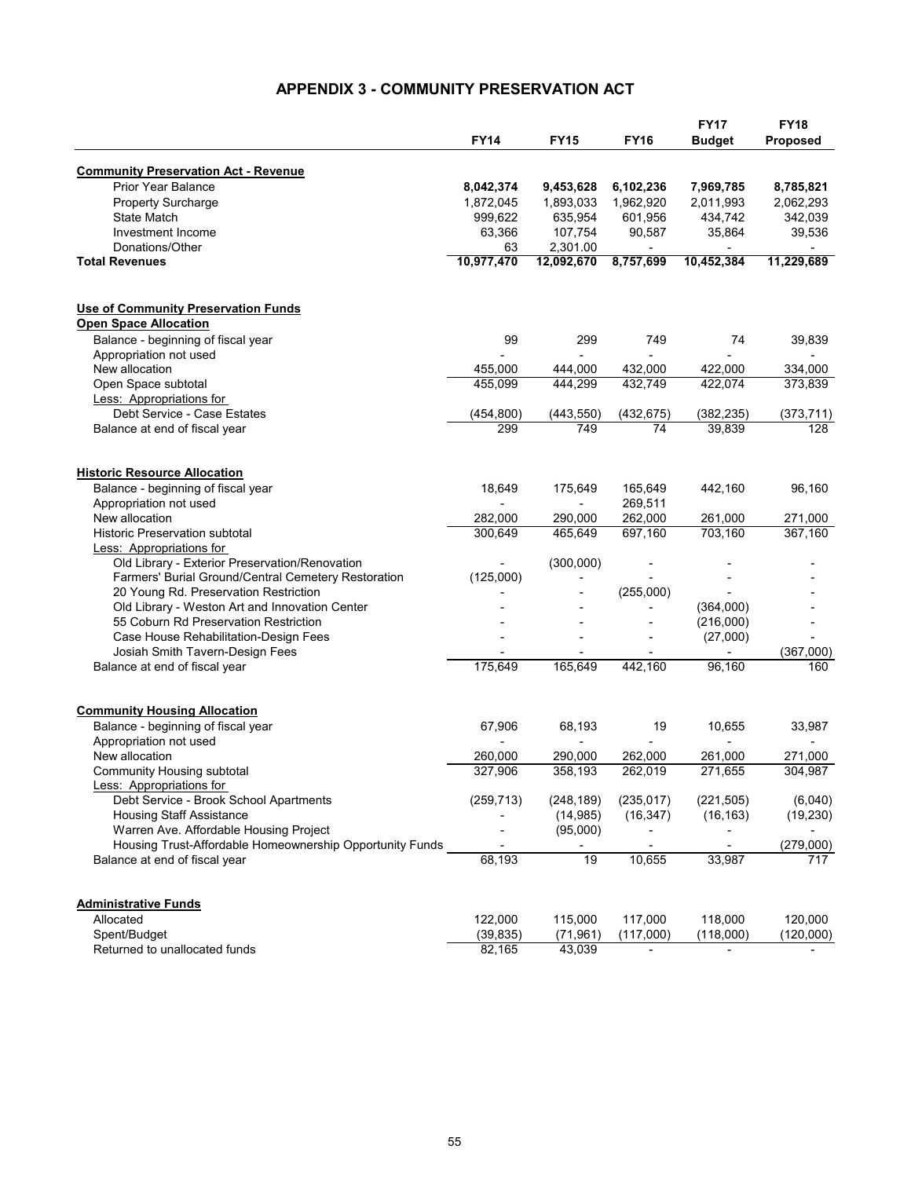## **APPENDIX 3 - COMMUNITY PRESERVATION ACT**

|                                                                           |             | <b>FY15</b> | <b>FY16</b>              | <b>FY17</b><br><b>Budget</b> | <b>FY18</b><br>Proposed |
|---------------------------------------------------------------------------|-------------|-------------|--------------------------|------------------------------|-------------------------|
|                                                                           | <b>FY14</b> |             |                          |                              |                         |
| <b>Community Preservation Act - Revenue</b>                               |             |             |                          |                              |                         |
| <b>Prior Year Balance</b>                                                 | 8,042,374   | 9,453,628   | 6,102,236                | 7,969,785                    | 8,785,821               |
| Property Surcharge                                                        | 1,872,045   | 1,893,033   | 1,962,920                | 2,011,993                    | 2,062,293               |
| <b>State Match</b>                                                        | 999,622     | 635,954     | 601,956                  | 434,742                      | 342,039                 |
| Investment Income                                                         | 63,366      | 107,754     | 90,587                   | 35,864                       | 39,536                  |
| Donations/Other                                                           | 63          | 2,301.00    | $\overline{\phantom{a}}$ |                              |                         |
| <b>Total Revenues</b>                                                     | 10,977,470  | 12,092,670  | 8,757,699                | 10,452,384                   | 11,229,689              |
|                                                                           |             |             |                          |                              |                         |
| <b>Use of Community Preservation Funds</b>                                |             |             |                          |                              |                         |
| <b>Open Space Allocation</b>                                              |             |             |                          |                              |                         |
| Balance - beginning of fiscal year                                        | 99          | 299         | 749                      | 74                           | 39,839                  |
| Appropriation not used                                                    |             |             | $\overline{a}$           |                              |                         |
| New allocation                                                            | 455,000     | 444,000     | 432,000                  | 422,000                      | 334,000                 |
| Open Space subtotal                                                       | 455,099     | 444,299     | 432,749                  | 422,074                      | 373,839                 |
| Less: Appropriations for                                                  |             |             |                          |                              |                         |
| Debt Service - Case Estates                                               | (454,800)   | (443, 550)  | (432, 675)               | (382, 235)                   | (373, 711)              |
| Balance at end of fiscal year                                             | 299         | 749         | 74                       | 39,839                       | 128                     |
|                                                                           |             |             |                          |                              |                         |
| <b>Historic Resource Allocation</b>                                       |             |             |                          |                              |                         |
| Balance - beginning of fiscal year                                        | 18,649      | 175,649     | 165,649                  | 442,160                      | 96,160                  |
| Appropriation not used                                                    |             |             | 269,511                  |                              |                         |
| New allocation                                                            | 282.000     | 290,000     | 262,000                  | 261,000                      | 271,000                 |
| <b>Historic Preservation subtotal</b>                                     | 300,649     | 465.649     | 697,160                  | 703,160                      | 367,160                 |
| <b>Less: Appropriations for</b>                                           |             |             |                          |                              |                         |
| Old Library - Exterior Preservation/Renovation                            |             | (300,000)   |                          |                              |                         |
| Farmers' Burial Ground/Central Cemetery Restoration                       | (125,000)   |             |                          |                              |                         |
| 20 Young Rd. Preservation Restriction                                     |             |             | (255,000)                |                              |                         |
| Old Library - Weston Art and Innovation Center                            |             |             |                          | (364,000)                    |                         |
| 55 Coburn Rd Preservation Restriction                                     |             |             |                          | (216,000)                    |                         |
| Case House Rehabilitation-Design Fees                                     |             |             |                          | (27,000)                     |                         |
| Josiah Smith Tavern-Design Fees                                           |             |             |                          |                              | (367,000)               |
| Balance at end of fiscal year                                             | 175,649     | 165,649     | 442,160                  | 96,160                       | 160                     |
|                                                                           |             |             |                          |                              |                         |
| <b>Community Housing Allocation</b><br>Balance - beginning of fiscal year | 67,906      | 68,193      | 19                       | 10,655                       | 33,987                  |
| Appropriation not used                                                    |             |             |                          |                              |                         |
| New allocation                                                            | 260.000     | 290,000     | 262,000                  | 261,000                      | 271,000                 |
| Community Housing subtotal                                                | 327,906     | 358,193     | 262,019                  | 271,655                      | 304,987                 |
| Less: Appropriations for                                                  |             |             |                          |                              |                         |
| Debt Service - Brook School Apartments                                    | (259, 713)  | (248, 189)  | (235, 017)               | (221, 505)                   | (6,040)                 |
| <b>Housing Staff Assistance</b>                                           |             | (14, 985)   | (16, 347)                | (16, 163)                    | (19, 230)               |
| Warren Ave. Affordable Housing Project                                    |             | (95,000)    | $\overline{\phantom{0}}$ |                              |                         |
| Housing Trust-Affordable Homeownership Opportunity Funds                  |             |             |                          |                              | (279,000)               |
| Balance at end of fiscal year                                             | 68,193      | 19          | 10,655                   | 33,987                       | 717                     |
|                                                                           |             |             |                          |                              |                         |
| <b>Administrative Funds</b>                                               |             |             |                          |                              |                         |
| Allocated                                                                 | 122,000     | 115,000     | 117,000                  | 118,000                      | 120,000                 |
| Spent/Budget                                                              | (39, 835)   | (71, 961)   | (117,000)                | (118,000)                    | (120,000)               |
| Returned to unallocated funds                                             | 82,165      | 43,039      |                          |                              |                         |